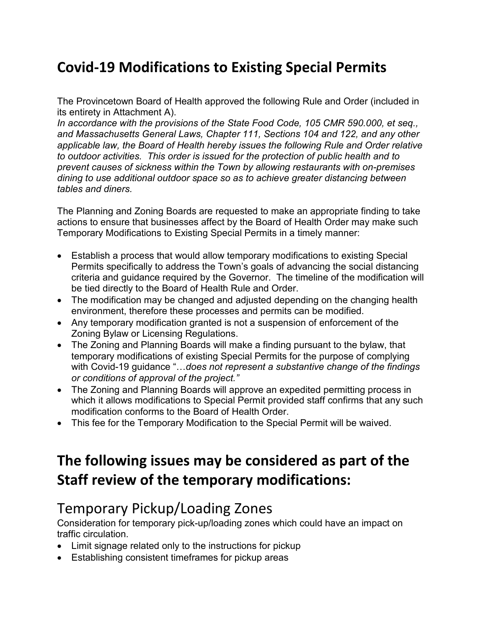### **Covid-19 Modifications to Existing Special Permits**

The Provincetown Board of Health approved the following Rule and Order (included in its entirety in Attachment A).

*In accordance with the provisions of the State Food Code, 105 CMR 590.000, et seq., and Massachusetts General Laws, Chapter 111, Sections 104 and 122, and any other applicable law, the Board of Health hereby issues the following Rule and Order relative to outdoor activities. This order is issued for the protection of public health and to prevent causes of sickness within the Town by allowing restaurants with on-premises dining to use additional outdoor space so as to achieve greater distancing between tables and diners.*

The Planning and Zoning Boards are requested to make an appropriate finding to take actions to ensure that businesses affect by the Board of Health Order may make such Temporary Modifications to Existing Special Permits in a timely manner:

- Establish a process that would allow temporary modifications to existing Special Permits specifically to address the Town's goals of advancing the social distancing criteria and guidance required by the Governor. The timeline of the modification will be tied directly to the Board of Health Rule and Order.
- The modification may be changed and adjusted depending on the changing health environment, therefore these processes and permits can be modified.
- Any temporary modification granted is not a suspension of enforcement of the Zoning Bylaw or Licensing Regulations.
- The Zoning and Planning Boards will make a finding pursuant to the bylaw, that temporary modifications of existing Special Permits for the purpose of complying with Covid-19 guidance "…*does not represent a substantive change of the findings or conditions of approval of the project."*
- The Zoning and Planning Boards will approve an expedited permitting process in which it allows modifications to Special Permit provided staff confirms that any such modification conforms to the Board of Health Order.
- This fee for the Temporary Modification to the Special Permit will be waived.

### **The following issues may be considered as part of the Staff review of the temporary modifications:**

### Temporary Pickup/Loading Zones

Consideration for temporary pick-up/loading zones which could have an impact on traffic circulation.

- Limit signage related only to the instructions for pickup
- Establishing consistent timeframes for pickup areas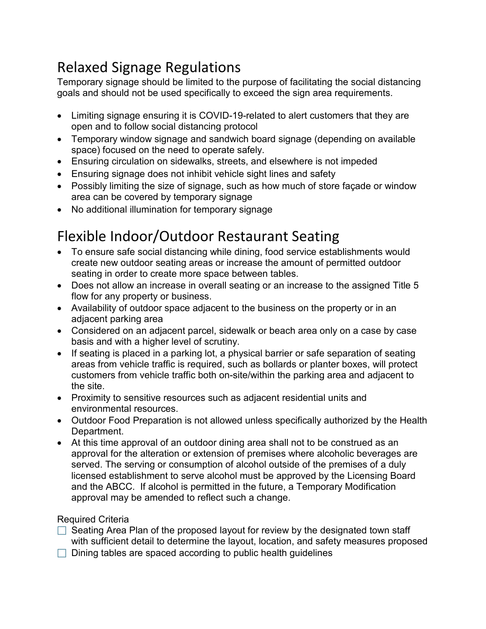## Relaxed Signage Regulations

Temporary signage should be limited to the purpose of facilitating the social distancing goals and should not be used specifically to exceed the sign area requirements.

- Limiting signage ensuring it is COVID-19-related to alert customers that they are open and to follow social distancing protocol
- Temporary window signage and sandwich board signage (depending on available space) focused on the need to operate safely.
- Ensuring circulation on sidewalks, streets, and elsewhere is not impeded
- Ensuring signage does not inhibit vehicle sight lines and safety
- Possibly limiting the size of signage, such as how much of store façade or window area can be covered by temporary signage
- No additional illumination for temporary signage

## Flexible Indoor/Outdoor Restaurant Seating

- To ensure safe social distancing while dining, food service establishments would create new outdoor seating areas or increase the amount of permitted outdoor seating in order to create more space between tables.
- Does not allow an increase in overall seating or an increase to the assigned Title 5 flow for any property or business.
- Availability of outdoor space adjacent to the business on the property or in an adjacent parking area
- Considered on an adjacent parcel, sidewalk or beach area only on a case by case basis and with a higher level of scrutiny.
- If seating is placed in a parking lot, a physical barrier or safe separation of seating areas from vehicle traffic is required, such as bollards or planter boxes, will protect customers from vehicle traffic both on-site/within the parking area and adjacent to the site.
- Proximity to sensitive resources such as adjacent residential units and environmental resources.
- Outdoor Food Preparation is not allowed unless specifically authorized by the Health Department.
- At this time approval of an outdoor dining area shall not to be construed as an approval for the alteration or extension of premises where alcoholic beverages are served. The serving or consumption of alcohol outside of the premises of a duly licensed establishment to serve alcohol must be approved by the Licensing Board and the ABCC. If alcohol is permitted in the future, a Temporary Modification approval may be amended to reflect such a change.

### Required Criteria

- $\Box$  Seating Area Plan of the proposed layout for review by the designated town staff with sufficient detail to determine the layout, location, and safety measures proposed
- $\Box$  Dining tables are spaced according to public health guidelines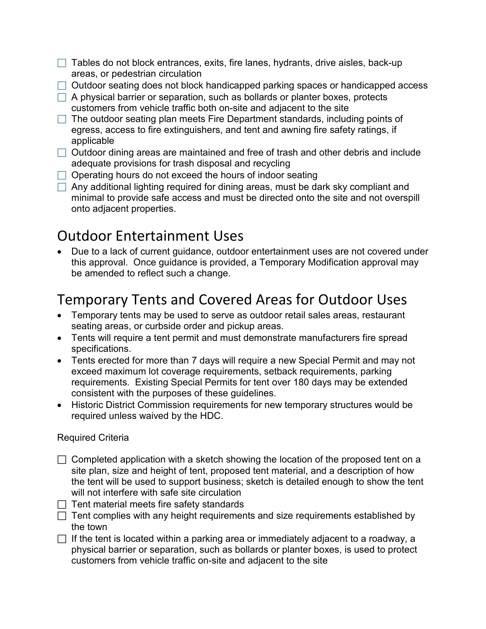- $\Box$  Tables do not block entrances, exits, fire lanes, hydrants, drive aisles, back-up areas, or pedestrian circulation
- $\Box$  Outdoor seating does not block handicapped parking spaces or handicapped access
- $\Box$  A physical barrier or separation, such as bollards or planter boxes, protects customers from vehicle traffic both on-site and adjacent to the site
- $\Box$  The outdoor seating plan meets Fire Department standards, including points of egress, access to fire extinguishers, and tent and awning fire safety ratings, if applicable
- $\Box$  Outdoor dining areas are maintained and free of trash and other debris and include adequate provisions for trash disposal and recycling
- $\Box$  Operating hours do not exceed the hours of indoor seating
- $\Box$  Any additional lighting required for dining areas, must be dark sky compliant and minimal to provide safe access and must be directed onto the site and not overspill onto adjacent properties.

## Outdoor Entertainment Uses

• Due to a lack of current guidance, outdoor entertainment uses are not covered under this approval. Once guidance is provided, a Temporary Modification approval may be amended to reflect such a change.

## Temporary Tents and Covered Areas for Outdoor Uses

- Temporary tents may be used to serve as outdoor retail sales areas, restaurant seating areas, or curbside order and pickup areas.
- Tents will require a tent permit and must demonstrate manufacturers fire spread specifications.
- Tents erected for more than 7 days will require a new Special Permit and may not exceed maximum lot coverage requirements, setback requirements, parking requirements. Existing Special Permits for tent over 180 days may be extended consistent with the purposes of these guidelines.
- Historic District Commission requirements for new temporary structures would be required unless waived by the HDC.

### Required Criteria

- $\Box$  Completed application with a sketch showing the location of the proposed tent on a site plan, size and height of tent, proposed tent material, and a description of how the tent will be used to support business; sketch is detailed enough to show the tent will not interfere with safe site circulation
- $\Box$  Tent material meets fire safety standards
- $\Box$  Tent complies with any height requirements and size requirements established by the town
- $\Box$  If the tent is located within a parking area or immediately adjacent to a roadway, a physical barrier or separation, such as bollards or planter boxes, is used to protect customers from vehicle traffic on-site and adjacent to the site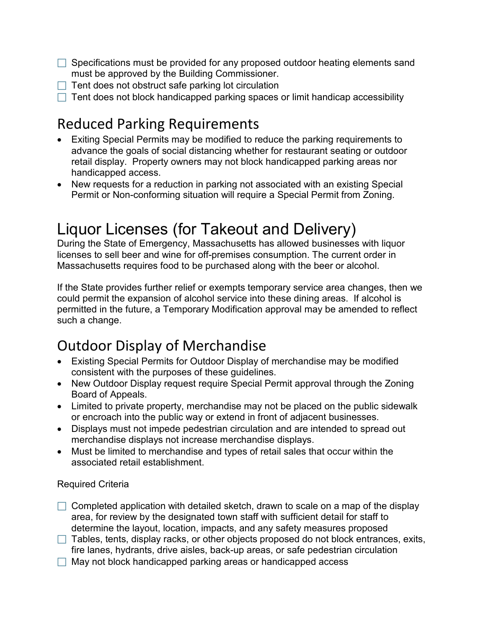- $\Box$  Specifications must be provided for any proposed outdoor heating elements sand must be approved by the Building Commissioner.
- $\Box$  Tent does not obstruct safe parking lot circulation
- $\Box$  Tent does not block handicapped parking spaces or limit handicap accessibility

## Reduced Parking Requirements

- Exiting Special Permits may be modified to reduce the parking requirements to advance the goals of social distancing whether for restaurant seating or outdoor retail display. Property owners may not block handicapped parking areas nor handicapped access.
- New requests for a reduction in parking not associated with an existing Special Permit or Non-conforming situation will require a Special Permit from Zoning.

## Liquor Licenses (for Takeout and Delivery)

During the State of Emergency, Massachusetts has allowed businesses with liquor licenses to sell beer and wine for off-premises consumption. The current order in Massachusetts requires food to be purchased along with the beer or alcohol.

If the State provides further relief or exempts temporary service area changes, then we could permit the expansion of alcohol service into these dining areas. If alcohol is permitted in the future, a Temporary Modification approval may be amended to reflect such a change.

## Outdoor Display of Merchandise

- Existing Special Permits for Outdoor Display of merchandise may be modified consistent with the purposes of these guidelines.
- New Outdoor Display request require Special Permit approval through the Zoning Board of Appeals.
- Limited to private property, merchandise may not be placed on the public sidewalk or encroach into the public way or extend in front of adjacent businesses.
- Displays must not impede pedestrian circulation and are intended to spread out merchandise displays not increase merchandise displays.
- Must be limited to merchandise and types of retail sales that occur within the associated retail establishment.

### Required Criteria

- $\Box$  Completed application with detailed sketch, drawn to scale on a map of the display area, for review by the designated town staff with sufficient detail for staff to determine the layout, location, impacts, and any safety measures proposed
- $\Box$  Tables, tents, display racks, or other objects proposed do not block entrances, exits, fire lanes, hydrants, drive aisles, back-up areas, or safe pedestrian circulation
- $\Box$  May not block handicapped parking areas or handicapped access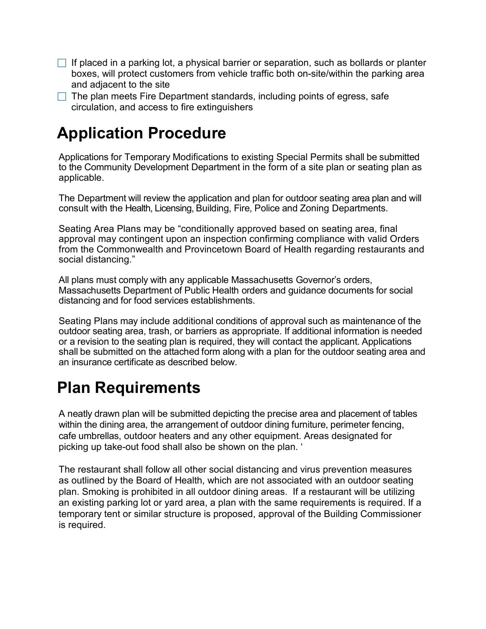- $\Box$  If placed in a parking lot, a physical barrier or separation, such as bollards or planter boxes, will protect customers from vehicle traffic both on-site/within the parking area and adjacent to the site
- $\Box$  The plan meets Fire Department standards, including points of egress, safe circulation, and access to fire extinguishers

## **Application Procedure**

Applications for Temporary Modifications to existing Special Permits shall be submitted to the Community Development Department in the form of a site plan or seating plan as applicable.

The Department will review the application and plan for outdoor seating area plan and will consult with the Health, Licensing, Building, Fire, Police and Zoning Departments.

Seating Area Plans may be "conditionally approved based on seating area, final approval may contingent upon an inspection confirming compliance with valid Orders from the Commonwealth and Provincetown Board of Health regarding restaurants and social distancing."

All plans must comply with any applicable Massachusetts Governor's orders, Massachusetts Department of Public Health orders and guidance documents for social distancing and for food services establishments.

Seating Plans may include additional conditions of approval such as maintenance of the outdoor seating area, trash, or barriers as appropriate. If additional information is needed or a revision to the seating plan is required, they will contact the applicant. Applications shall be submitted on the attached form along with a plan for the outdoor seating area and an insurance certificate as described below.

## **Plan Requirements**

A neatly drawn plan will be submitted depicting the precise area and placement of tables within the dining area, the arrangement of outdoor dining furniture, perimeter fencing, cafe umbrellas, outdoor heaters and any other equipment. Areas designated for picking up take-out food shall also be shown on the plan. '

The restaurant shall follow all other social distancing and virus prevention measures as outlined by the Board of Health, which are not associated with an outdoor seating plan. Smoking is prohibited in all outdoor dining areas. If a restaurant will be utilizing an existing parking lot or yard area, a plan with the same requirements is required. If a temporary tent or similar structure is proposed, approval of the Building Commissioner is required.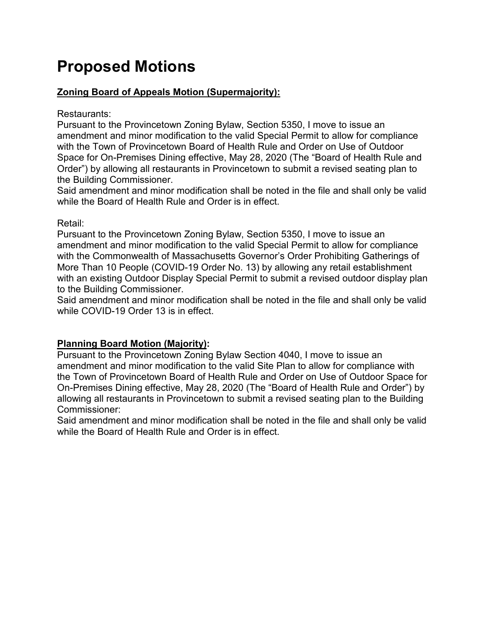# **Proposed Motions**

### **Zoning Board of Appeals Motion (Supermajority):**

### Restaurants:

Pursuant to the Provincetown Zoning Bylaw, Section 5350, I move to issue an amendment and minor modification to the valid Special Permit to allow for compliance with the Town of Provincetown Board of Health Rule and Order on Use of Outdoor Space for On-Premises Dining effective, May 28, 2020 (The "Board of Health Rule and Order") by allowing all restaurants in Provincetown to submit a revised seating plan to the Building Commissioner.

Said amendment and minor modification shall be noted in the file and shall only be valid while the Board of Health Rule and Order is in effect.

### Retail:

Pursuant to the Provincetown Zoning Bylaw, Section 5350, I move to issue an amendment and minor modification to the valid Special Permit to allow for compliance with the Commonwealth of Massachusetts Governor's Order Prohibiting Gatherings of More Than 10 People (COVID-19 Order No. 13) by allowing any retail establishment with an existing Outdoor Display Special Permit to submit a revised outdoor display plan to the Building Commissioner.

Said amendment and minor modification shall be noted in the file and shall only be valid while COVID-19 Order 13 is in effect.

### **Planning Board Motion (Majority):**

Pursuant to the Provincetown Zoning Bylaw Section 4040, I move to issue an amendment and minor modification to the valid Site Plan to allow for compliance with the Town of Provincetown Board of Health Rule and Order on Use of Outdoor Space for On-Premises Dining effective, May 28, 2020 (The "Board of Health Rule and Order") by allowing all restaurants in Provincetown to submit a revised seating plan to the Building Commissioner:

Said amendment and minor modification shall be noted in the file and shall only be valid while the Board of Health Rule and Order is in effect.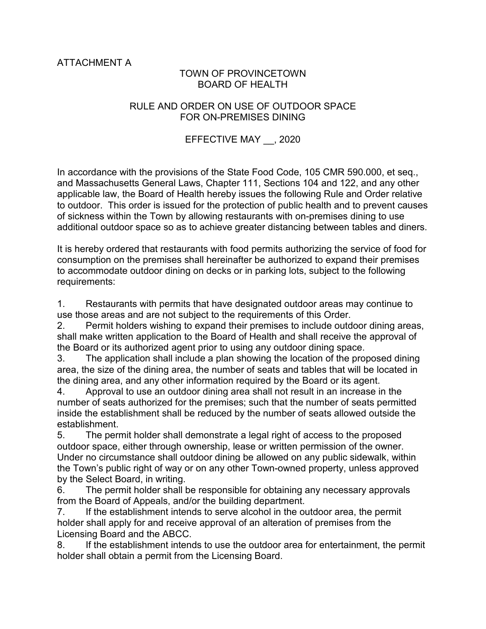ATTACHMENT A

### TOWN OF PROVINCETOWN BOARD OF HEALTH

#### RULE AND ORDER ON USE OF OUTDOOR SPACE FOR ON-PREMISES DINING

### EFFECTIVE MAY \_\_, 2020

In accordance with the provisions of the State Food Code, 105 CMR 590.000, et seq., and Massachusetts General Laws, Chapter 111, Sections 104 and 122, and any other applicable law, the Board of Health hereby issues the following Rule and Order relative to outdoor. This order is issued for the protection of public health and to prevent causes of sickness within the Town by allowing restaurants with on-premises dining to use additional outdoor space so as to achieve greater distancing between tables and diners.

It is hereby ordered that restaurants with food permits authorizing the service of food for consumption on the premises shall hereinafter be authorized to expand their premises to accommodate outdoor dining on decks or in parking lots, subject to the following requirements:

1. Restaurants with permits that have designated outdoor areas may continue to use those areas and are not subject to the requirements of this Order.

2. Permit holders wishing to expand their premises to include outdoor dining areas, shall make written application to the Board of Health and shall receive the approval of the Board or its authorized agent prior to using any outdoor dining space.

3. The application shall include a plan showing the location of the proposed dining area, the size of the dining area, the number of seats and tables that will be located in the dining area, and any other information required by the Board or its agent.

4. Approval to use an outdoor dining area shall not result in an increase in the number of seats authorized for the premises; such that the number of seats permitted inside the establishment shall be reduced by the number of seats allowed outside the establishment.

5. The permit holder shall demonstrate a legal right of access to the proposed outdoor space, either through ownership, lease or written permission of the owner. Under no circumstance shall outdoor dining be allowed on any public sidewalk, within the Town's public right of way or on any other Town-owned property, unless approved by the Select Board, in writing.

6. The permit holder shall be responsible for obtaining any necessary approvals from the Board of Appeals, and/or the building department.

7. If the establishment intends to serve alcohol in the outdoor area, the permit holder shall apply for and receive approval of an alteration of premises from the Licensing Board and the ABCC.

8. If the establishment intends to use the outdoor area for entertainment, the permit holder shall obtain a permit from the Licensing Board.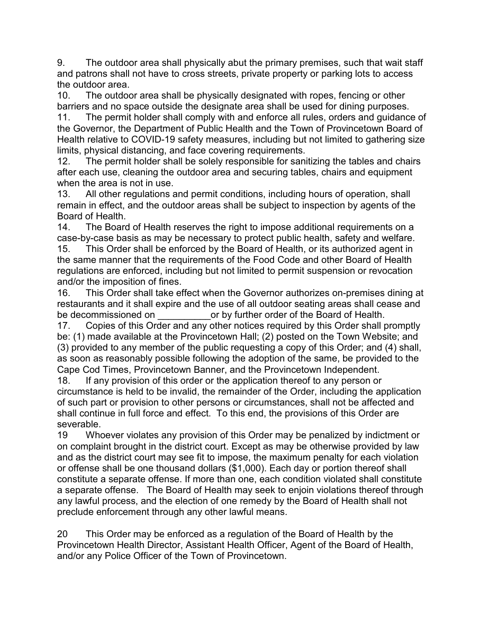9. The outdoor area shall physically abut the primary premises, such that wait staff and patrons shall not have to cross streets, private property or parking lots to access the outdoor area.

10. The outdoor area shall be physically designated with ropes, fencing or other barriers and no space outside the designate area shall be used for dining purposes.

11. The permit holder shall comply with and enforce all rules, orders and guidance of the Governor, the Department of Public Health and the Town of Provincetown Board of Health relative to COVID-19 safety measures, including but not limited to gathering size limits, physical distancing, and face covering requirements.

12. The permit holder shall be solely responsible for sanitizing the tables and chairs after each use, cleaning the outdoor area and securing tables, chairs and equipment when the area is not in use.

13. All other regulations and permit conditions, including hours of operation, shall remain in effect, and the outdoor areas shall be subject to inspection by agents of the Board of Health.

14. The Board of Health reserves the right to impose additional requirements on a case-by-case basis as may be necessary to protect public health, safety and welfare. 15. This Order shall be enforced by the Board of Health, or its authorized agent in the same manner that the requirements of the Food Code and other Board of Health regulations are enforced, including but not limited to permit suspension or revocation and/or the imposition of fines.

16. This Order shall take effect when the Governor authorizes on-premises dining at restaurants and it shall expire and the use of all outdoor seating areas shall cease and be decommissioned on  $\qquad \qquad$  or by further order of the Board of Health.

17. Copies of this Order and any other notices required by this Order shall promptly be: (1) made available at the Provincetown Hall; (2) posted on the Town Website; and (3) provided to any member of the public requesting a copy of this Order; and (4) shall, as soon as reasonably possible following the adoption of the same, be provided to the Cape Cod Times, Provincetown Banner, and the Provincetown Independent.

18. If any provision of this order or the application thereof to any person or circumstance is held to be invalid, the remainder of the Order, including the application of such part or provision to other persons or circumstances, shall not be affected and shall continue in full force and effect. To this end, the provisions of this Order are severable.

19 Whoever violates any provision of this Order may be penalized by indictment or on complaint brought in the district court. Except as may be otherwise provided by law and as the district court may see fit to impose, the maximum penalty for each violation or offense shall be one thousand dollars (\$1,000). Each day or portion thereof shall constitute a separate offense. If more than one, each condition violated shall constitute a separate offense. The Board of Health may seek to enjoin violations thereof through any lawful process, and the election of one remedy by the Board of Health shall not preclude enforcement through any other lawful means.

20 This Order may be enforced as a regulation of the Board of Health by the Provincetown Health Director, Assistant Health Officer, Agent of the Board of Health, and/or any Police Officer of the Town of Provincetown.